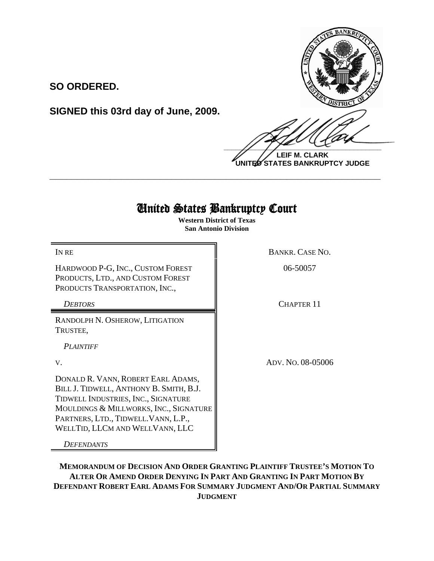

**LEIF M. CLARK UNITED STATES BANKRUPTCY JUDGE**

## United States Bankruptcy Court

**\_\_\_\_\_\_\_\_\_\_\_\_\_\_\_\_\_\_\_\_\_\_\_\_\_\_\_\_\_\_\_\_\_\_\_\_\_\_\_\_\_\_\_\_\_\_\_\_\_\_\_\_\_\_\_\_\_\_\_\_**

**Western District of Texas San Antonio Division**

HARDWOOD P-G, INC., CUSTOM FOREST PRODUCTS, LTD., AND CUSTOM FOREST PRODUCTS TRANSPORTATION, INC.,

**SIGNED this 03rd day of June, 2009.**

**SO ORDERED.**

RANDOLPH N. OSHEROW, LITIGATION TRUSTEE,

*PLAINTIFF* 

DONALD R. VANN, ROBERT EARL ADAMS, BILL J. TIDWELL, ANTHONY B. SMITH, B.J. TIDWELL INDUSTRIES, INC., SIGNATURE MOULDINGS & MILLWORKS, INC., SIGNATURE PARTNERS, LTD., TIDWELL.VANN, L.P., WELLTID, LLCM AND WELLVANN, LLC

*DEFENDANTS*

IN RE BANKR. CASE NO.

06-50057

**DEBTORS** CHAPTER 11

V. ADV. NO. 08-05006

**MEMORANDUM OF DECISION AND ORDER GRANTING PLAINTIFF TRUSTEE'S MOTION TO ALTER OR AMEND ORDER DENYING IN PART AND GRANTING IN PART MOTION BY DEFENDANT ROBERT EARL ADAMS FOR SUMMARY JUDGMENT AND/OR PARTIAL SUMMARY JUDGMENT**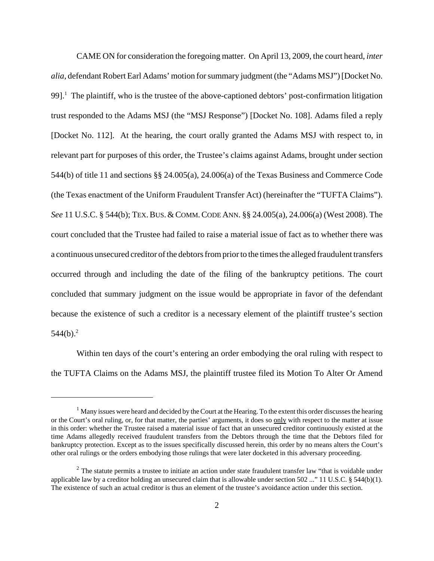CAME ON for consideration the foregoing matter. On April 13, 2009, the court heard, *inter alia*, defendant Robert Earl Adams' motion for summary judgment (the "Adams MSJ") [Docket No. 99].<sup>1</sup> The plaintiff, who is the trustee of the above-captioned debtors' post-confirmation litigation trust responded to the Adams MSJ (the "MSJ Response") [Docket No. 108]. Adams filed a reply [Docket No. 112]. At the hearing, the court orally granted the Adams MSJ with respect to, in relevant part for purposes of this order, the Trustee's claims against Adams, brought under section 544(b) of title 11 and sections §§ 24.005(a), 24.006(a) of the Texas Business and Commerce Code (the Texas enactment of the Uniform Fraudulent Transfer Act) (hereinafter the "TUFTA Claims"). *See* 11 U.S.C. § 544(b); TEX.BUS.&COMM.CODE ANN. §§ 24.005(a), 24.006(a) (West 2008). The court concluded that the Trustee had failed to raise a material issue of fact as to whether there was a continuous unsecured creditor of the debtors from prior to the times the alleged fraudulent transfers occurred through and including the date of the filing of the bankruptcy petitions. The court concluded that summary judgment on the issue would be appropriate in favor of the defendant because the existence of such a creditor is a necessary element of the plaintiff trustee's section  $544(b).^{2}$ 

Within ten days of the court's entering an order embodying the oral ruling with respect to the TUFTA Claims on the Adams MSJ, the plaintiff trustee filed its Motion To Alter Or Amend

 $<sup>1</sup>$  Many issues were heard and decided by the Court at the Hearing. To the extent this order discusses the hearing</sup> or the Court's oral ruling, or, for that matter, the parties' arguments, it does so only with respect to the matter at issue in this order: whether the Trustee raised a material issue of fact that an unsecured creditor continuously existed at the time Adams allegedly received fraudulent transfers from the Debtors through the time that the Debtors filed for bankruptcy protection. Except as to the issues specifically discussed herein, this order by no means alters the Court's other oral rulings or the orders embodying those rulings that were later docketed in this adversary proceeding.

 $2$  The statute permits a trustee to initiate an action under state fraudulent transfer law "that is voidable under applicable law by a creditor holding an unsecured claim that is allowable under section 502 ..." 11 U.S.C. § 544(b)(1). The existence of such an actual creditor is thus an element of the trustee's avoidance action under this section.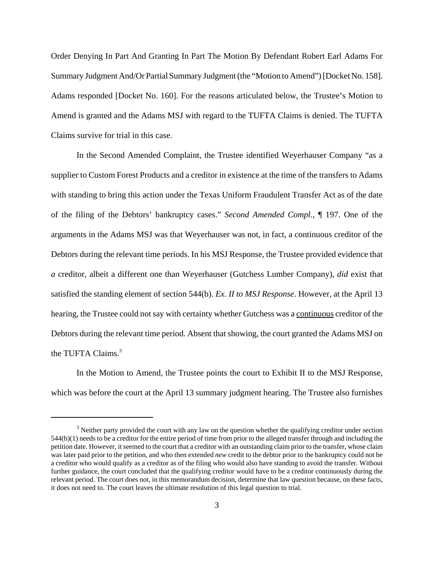Order Denying In Part And Granting In Part The Motion By Defendant Robert Earl Adams For Summary Judgment And/Or Partial Summary Judgment (the "Motion to Amend") [Docket No. 158]. Adams responded [Docket No. 160]. For the reasons articulated below, the Trustee's Motion to Amend is granted and the Adams MSJ with regard to the TUFTA Claims is denied. The TUFTA Claims survive for trial in this case.

In the Second Amended Complaint, the Trustee identified Weyerhauser Company "as a supplier to Custom Forest Products and a creditor in existence at the time of the transfers to Adams with standing to bring this action under the Texas Uniform Fraudulent Transfer Act as of the date of the filing of the Debtors' bankruptcy cases." *Second Amended Compl.*, ¶ 197. One of the arguments in the Adams MSJ was that Weyerhauser was not, in fact, a continuous creditor of the Debtors during the relevant time periods. In his MSJ Response, the Trustee provided evidence that *a* creditor, albeit a different one than Weyerhauser (Gutchess Lumber Company), *did* exist that satisfied the standing element of section 544(b). *Ex. II to MSJ Response*. However, at the April 13 hearing, the Trustee could not say with certainty whether Gutchess was a continuous creditor of the Debtors during the relevant time period. Absent that showing, the court granted the Adams MSJ on the TUFTA Claims.<sup>3</sup>

In the Motion to Amend, the Trustee points the court to Exhibit II to the MSJ Response, which was before the court at the April 13 summary judgment hearing. The Trustee also furnishes

 $3$  Neither party provided the court with any law on the question whether the qualifying creditor under section 544(b)(1) needs to be a creditor for the entire period of time from prior to the alleged transfer through and including the petition date. However, it seemed to the court that a creditor with an outstanding claim prior to the transfer, whose claim was later paid prior to the petition, and who then extended *new* credit to the debtor prior to the bankruptcy could not be a creditor who would qualify as a creditor as of the filing who would also have standing to avoid the transfer. Without further guidance, the court concluded that the qualifying creditor would have to be a creditor continuously during the relevant period. The court does not, in this memorandum decision, determine that law question because, on these facts, it does not need to. The court leaves the ultimate resolution of this legal question to trial.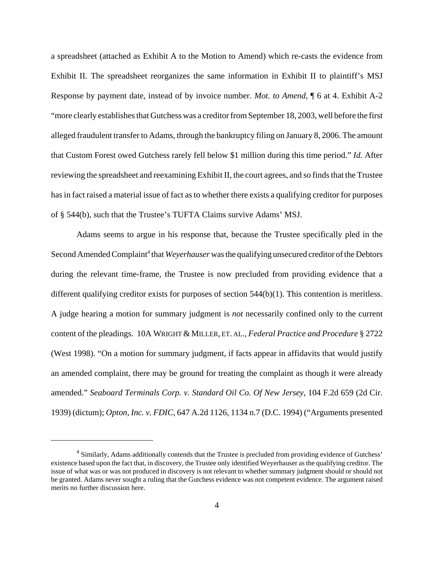a spreadsheet (attached as Exhibit A to the Motion to Amend) which re-casts the evidence from Exhibit II. The spreadsheet reorganizes the same information in Exhibit II to plaintiff's MSJ Response by payment date, instead of by invoice number. *Mot. to Amend*, ¶ 6 at 4. Exhibit A-2 "more clearly establishes that Gutchess was a creditor from September 18, 2003, well before the first alleged fraudulent transfer to Adams, through the bankruptcy filing on January 8, 2006. The amount that Custom Forest owed Gutchess rarely fell below \$1 million during this time period." *Id.* After reviewing the spreadsheet and reexamining Exhibit II, the court agrees, and so finds that the Trustee has in fact raised a material issue of fact as to whether there exists a qualifying creditor for purposes of § 544(b), such that the Trustee's TUFTA Claims survive Adams' MSJ.

Adams seems to argue in his response that, because the Trustee specifically pled in the Second Amended Complaint<sup>4</sup> that *Weyerhauser* was the qualifying unsecured creditor of the Debtors during the relevant time-frame, the Trustee is now precluded from providing evidence that a different qualifying creditor exists for purposes of section 544(b)(1). This contention is meritless. A judge hearing a motion for summary judgment is *not* necessarily confined only to the current content of the pleadings. 10A WRIGHT & MILLER, ET. AL., *Federal Practice and Procedure* § 2722 (West 1998). "On a motion for summary judgment, if facts appear in affidavits that would justify an amended complaint, there may be ground for treating the complaint as though it were already amended." *Seaboard Terminals Corp. v. Standard Oil Co. Of New Jersey*, 104 F.2d 659 (2d Cir. 1939) (dictum); *Opton, Inc. v. FDIC*, 647 A.2d 1126, 1134 n.7 (D.C. 1994) ("Arguments presented

<sup>&</sup>lt;sup>4</sup> Similarly, Adams additionally contends that the Trustee is precluded from providing evidence of Gutchess' existence based upon the fact that, in discovery, the Trustee only identified Weyerhauser as the qualifying creditor. The issue of what was or was not produced in discovery is not relevant to whether summary judgment should or should not be granted. Adams never sought a ruling that the Gutchess evidence was not competent evidence. The argument raised merits no further discussion here.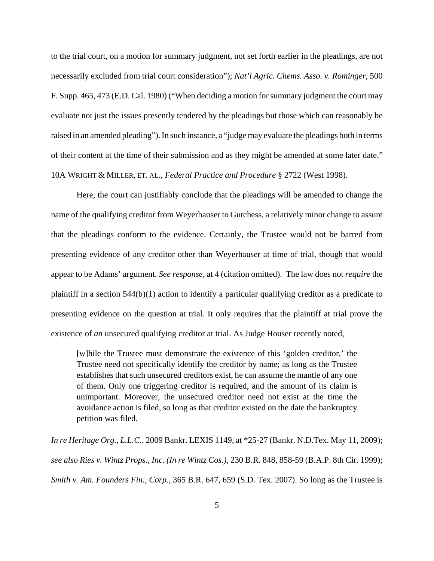to the trial court, on a motion for summary judgment, not set forth earlier in the pleadings, are not necessarily excluded from trial court consideration"); *Nat'l Agric. Chems. Asso. v. Rominger*, 500 F. Supp. 465, 473 (E.D. Cal. 1980) ("When deciding a motion for summary judgment the court may evaluate not just the issues presently tendered by the pleadings but those which can reasonably be raised in an amended pleading"). In such instance, a "judge may evaluate the pleadings both in terms of their content at the time of their submission and as they might be amended at some later date." 10A WRIGHT & MILLER, ET. AL., *Federal Practice and Procedure* § 2722 (West 1998).

Here, the court can justifiably conclude that the pleadings will be amended to change the name of the qualifying creditor from Weyerhauser to Gutchess, a relatively minor change to assure that the pleadings conform to the evidence. Certainly, the Trustee would not be barred from presenting evidence of any creditor other than Weyerhauser at time of trial, though that would appear to be Adams' argument. *See response*, at 4 (citation omitted). The law does not *require* the plaintiff in a section 544(b)(1) action to identify a particular qualifying creditor as a predicate to presenting evidence on the question at trial. It only requires that the plaintiff at trial prove the existence of *an* unsecured qualifying creditor at trial. As Judge Houser recently noted,

[w]hile the Trustee must demonstrate the existence of this 'golden creditor,' the Trustee need not specifically identify the creditor by name; as long as the Trustee establishes that such unsecured creditors exist, he can assume the mantle of any one of them. Only one triggering creditor is required, and the amount of its claim is unimportant. Moreover, the unsecured creditor need not exist at the time the avoidance action is filed, so long as that creditor existed on the date the bankruptcy petition was filed.

*In re Heritage Org., L.L.C.*, 2009 Bankr. LEXIS 1149, at \*25-27 (Bankr. N.D.Tex. May 11, 2009); *see also Ries v. Wintz Props., Inc. (In re Wintz Cos.)*, 230 B.R. 848, 858-59 (B.A.P. 8th Cir. 1999); *Smith v. Am. Founders Fin., Corp*., 365 B.R. 647, 659 (S.D. Tex. 2007). So long as the Trustee is